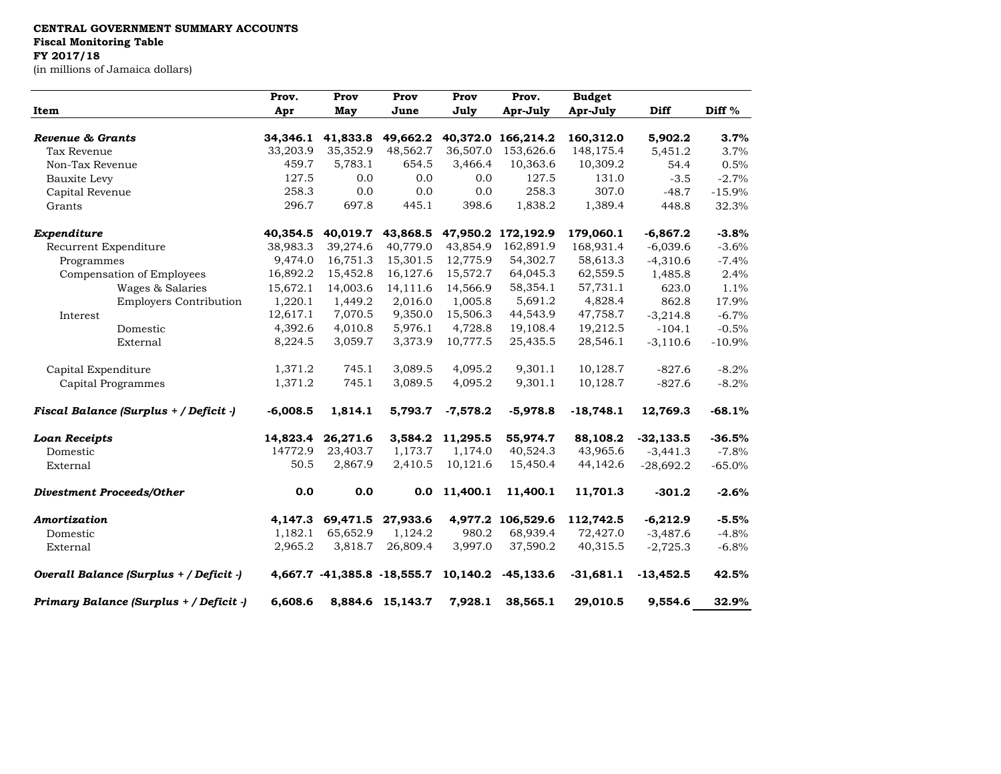## **CENTRAL GOVERNMENT SUMMARY ACCOUNTS**

**Fiscal Monitoring Table**

## **FY 2017/18**

(in millions of Jamaica dollars)

| Item                                    | Prov.      | Prov<br>May | Prov<br>June                | Prov<br>July | Prov.<br>Apr-July  | <b>Budget</b><br>Apr-July | Diff        | Diff %   |
|-----------------------------------------|------------|-------------|-----------------------------|--------------|--------------------|---------------------------|-------------|----------|
|                                         | Apr        |             |                             |              |                    |                           |             |          |
| Revenue & Grants                        | 34,346.1   | 41,833.8    | 49,662.2                    |              | 40,372.0 166,214.2 | 160,312.0                 | 5,902.2     | 3.7%     |
| Tax Revenue                             | 33,203.9   | 35,352.9    | 48,562.7                    | 36,507.0     | 153,626.6          | 148,175.4                 | 5,451.2     | 3.7%     |
| Non-Tax Revenue                         | 459.7      | 5,783.1     | 654.5                       | 3,466.4      | 10,363.6           | 10,309.2                  | 54.4        | 0.5%     |
| Bauxite Levy                            | 127.5      | 0.0         | 0.0                         | 0.0          | 127.5              | 131.0                     | $-3.5$      | $-2.7%$  |
| Capital Revenue                         | 258.3      | 0.0         | 0.0                         | 0.0          | 258.3              | 307.0                     | $-48.7$     | $-15.9%$ |
| Grants                                  | 296.7      | 697.8       | 445.1                       | 398.6        | 1,838.2            | 1,389.4                   | 448.8       | 32.3%    |
| Expenditure                             | 40,354.5   | 40,019.7    | 43,868.5                    | 47,950.2     | 172,192.9          | 179,060.1                 | $-6,867.2$  | $-3.8%$  |
| Recurrent Expenditure                   | 38,983.3   | 39,274.6    | 40,779.0                    | 43,854.9     | 162,891.9          | 168,931.4                 | $-6,039.6$  | $-3.6%$  |
| Programmes                              | 9,474.0    | 16,751.3    | 15,301.5                    | 12,775.9     | 54,302.7           | 58,613.3                  | $-4,310.6$  | $-7.4%$  |
| Compensation of Employees               | 16,892.2   | 15,452.8    | 16,127.6                    | 15,572.7     | 64,045.3           | 62,559.5                  | 1,485.8     | 2.4%     |
| Wages & Salaries                        | 15,672.1   | 14,003.6    | 14,111.6                    | 14,566.9     | 58,354.1           | 57,731.1                  | 623.0       | 1.1%     |
| <b>Employers Contribution</b>           | 1,220.1    | 1,449.2     | 2,016.0                     | 1,005.8      | 5,691.2            | 4,828.4                   | 862.8       | 17.9%    |
| Interest                                | 12,617.1   | 7,070.5     | 9,350.0                     | 15,506.3     | 44,543.9           | 47,758.7                  | $-3,214.8$  | $-6.7%$  |
| Domestic                                | 4,392.6    | 4,010.8     | 5,976.1                     | 4,728.8      | 19,108.4           | 19,212.5                  | $-104.1$    | $-0.5%$  |
| External                                | 8,224.5    | 3,059.7     | 3,373.9                     | 10,777.5     | 25,435.5           | 28,546.1                  | $-3,110.6$  | $-10.9%$ |
| Capital Expenditure                     | 1,371.2    | 745.1       | 3,089.5                     | 4,095.2      | 9,301.1            | 10,128.7                  | $-827.6$    | $-8.2%$  |
| Capital Programmes                      | 1,371.2    | 745.1       | 3,089.5                     | 4,095.2      | 9,301.1            | 10,128.7                  | $-827.6$    | $-8.2%$  |
| Fiscal Balance (Surplus + / Deficit -)  | $-6,008.5$ | 1,814.1     | 5,793.7                     | $-7,578.2$   | $-5,978.8$         | $-18,748.1$               | 12,769.3    | $-68.1%$ |
| <b>Loan Receipts</b>                    | 14,823.4   | 26,271.6    | 3,584.2                     | 11,295.5     | 55,974.7           | 88,108.2                  | $-32,133.5$ | $-36.5%$ |
| Domestic                                | 14772.9    | 23,403.7    | 1,173.7                     | 1,174.0      | 40,524.3           | 43,965.6                  | $-3,441.3$  | $-7.8%$  |
| External                                | 50.5       | 2,867.9     | 2,410.5                     | 10,121.6     | 15,450.4           | 44,142.6                  | $-28,692.2$ | $-65.0%$ |
| <b>Divestment Proceeds/Other</b>        | 0.0        | 0.0         | 0.0                         | 11,400.1     | 11,400.1           | 11,701.3                  | $-301.2$    | $-2.6%$  |
| Amortization                            | 4,147.3    | 69,471.5    | 27,933.6                    | 4,977.2      | 106,529.6          | 112,742.5                 | $-6,212.9$  | $-5.5%$  |
| Domestic                                | 1,182.1    | 65,652.9    | 1,124.2                     | 980.2        | 68,939.4           | 72,427.0                  | $-3,487.6$  | $-4.8%$  |
| External                                | 2,965.2    | 3,818.7     | 26,809.4                    | 3,997.0      | 37,590.2           | 40,315.5                  | $-2,725.3$  | $-6.8%$  |
| Overall Balance (Surplus + / Deficit -) |            |             | 4,667.7 -41,385.8 -18,555.7 | 10,140.2     | $-45,133.6$        | $-31,681.1$               | $-13,452.5$ | 42.5%    |
| Primary Balance (Surplus + / Deficit -) | 6,608.6    |             | 8,884.6 15,143.7            | 7,928.1      | 38,565.1           | 29,010.5                  | 9,554.6     | 32.9%    |